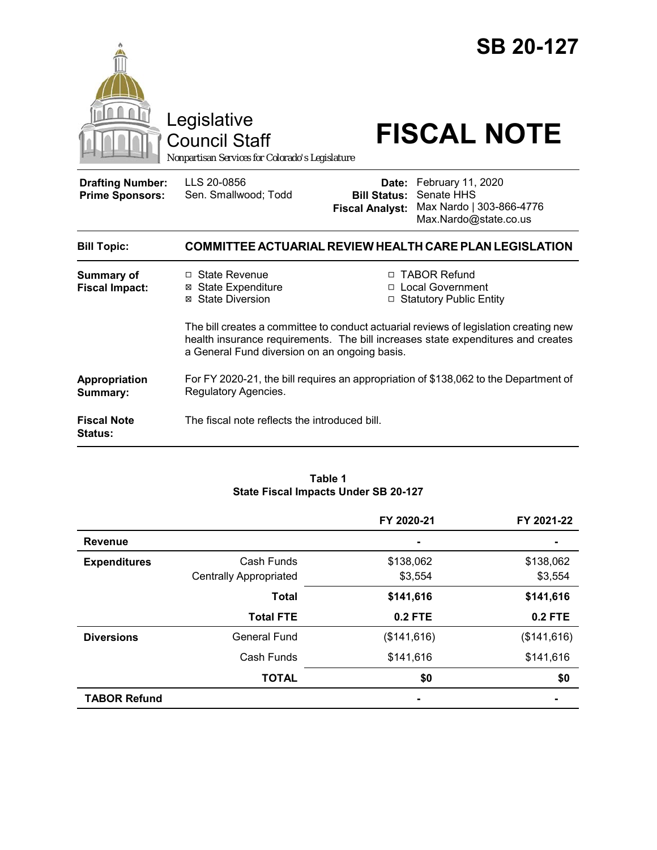



Council Staff

# Legislative<br>Council Staff **FISCAL NOTE**

*Nonpartisan Services for Colorado's Legislature*

**Drafting Number: Prime Sponsors:**

LLS 20-0856 Sen. Smallwood; Todd

**Date:** February 11, 2020 **Bill Status:** Senate HHS **Fiscal Analyst:** Max Nardo | 303-866-4776 Max.Nardo@state.co.us

| <b>Bill Topic:</b>                   | COMMITTEE ACTUARIAL REVIEW HEALTH CARE PLAN LEGISLATION                                                                                                                                                                    |                                                                   |  |
|--------------------------------------|----------------------------------------------------------------------------------------------------------------------------------------------------------------------------------------------------------------------------|-------------------------------------------------------------------|--|
| Summary of<br><b>Fiscal Impact:</b>  | $\Box$ State Revenue<br>⊠ State Expenditure<br>⊠ State Diversion                                                                                                                                                           | □ TABOR Refund<br>□ Local Government<br>□ Statutory Public Entity |  |
|                                      | The bill creates a committee to conduct actuarial reviews of legislation creating new<br>health insurance requirements. The bill increases state expenditures and creates<br>a General Fund diversion on an ongoing basis. |                                                                   |  |
| Appropriation<br>Summary:            | For FY 2020-21, the bill requires an appropriation of \$138,062 to the Department of<br>Regulatory Agencies.                                                                                                               |                                                                   |  |
| <b>Fiscal Note</b><br><b>Status:</b> | The fiscal note reflects the introduced bill.                                                                                                                                                                              |                                                                   |  |

#### **Table 1 State Fiscal Impacts Under SB 20-127**

|                     |                               | FY 2020-21  | FY 2021-22     |
|---------------------|-------------------------------|-------------|----------------|
| <b>Revenue</b>      |                               |             |                |
| <b>Expenditures</b> | Cash Funds                    | \$138,062   | \$138,062      |
|                     | <b>Centrally Appropriated</b> | \$3,554     | \$3,554        |
|                     | <b>Total</b>                  | \$141,616   | \$141,616      |
|                     | <b>Total FTE</b>              | 0.2 FTE     | <b>0.2 FTE</b> |
| <b>Diversions</b>   | <b>General Fund</b>           | (\$141,616) | (\$141,616)    |
|                     | Cash Funds                    | \$141,616   | \$141,616      |
|                     | <b>TOTAL</b>                  | \$0         | \$0            |
| <b>TABOR Refund</b> |                               |             |                |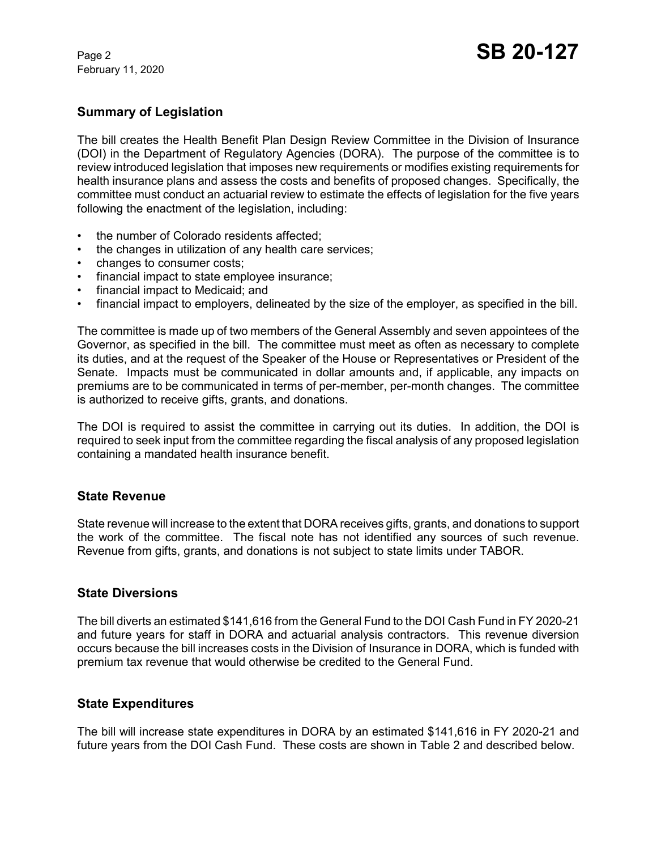February 11, 2020

## **Summary of Legislation**

The bill creates the Health Benefit Plan Design Review Committee in the Division of Insurance (DOI) in the Department of Regulatory Agencies (DORA). The purpose of the committee is to review introduced legislation that imposes new requirements or modifies existing requirements for health insurance plans and assess the costs and benefits of proposed changes. Specifically, the committee must conduct an actuarial review to estimate the effects of legislation for the five years following the enactment of the legislation, including:

- the number of Colorado residents affected:
- the changes in utilization of any health care services;
- changes to consumer costs;
- financial impact to state employee insurance;
- financial impact to Medicaid; and
- financial impact to employers, delineated by the size of the employer, as specified in the bill.

The committee is made up of two members of the General Assembly and seven appointees of the Governor, as specified in the bill. The committee must meet as often as necessary to complete its duties, and at the request of the Speaker of the House or Representatives or President of the Senate. Impacts must be communicated in dollar amounts and, if applicable, any impacts on premiums are to be communicated in terms of per-member, per-month changes. The committee is authorized to receive gifts, grants, and donations.

The DOI is required to assist the committee in carrying out its duties. In addition, the DOI is required to seek input from the committee regarding the fiscal analysis of any proposed legislation containing a mandated health insurance benefit.

### **State Revenue**

State revenue will increase to the extent that DORA receives gifts, grants, and donations to support the work of the committee. The fiscal note has not identified any sources of such revenue. Revenue from gifts, grants, and donations is not subject to state limits under TABOR.

### **State Diversions**

The bill diverts an estimated \$141,616 from the General Fund to the DOI Cash Fund in FY 2020-21 and future years for staff in DORA and actuarial analysis contractors. This revenue diversion occurs because the bill increases costs in the Division of Insurance in DORA, which is funded with premium tax revenue that would otherwise be credited to the General Fund.

### **State Expenditures**

The bill will increase state expenditures in DORA by an estimated \$141,616 in FY 2020-21 and future years from the DOI Cash Fund. These costs are shown in Table 2 and described below.